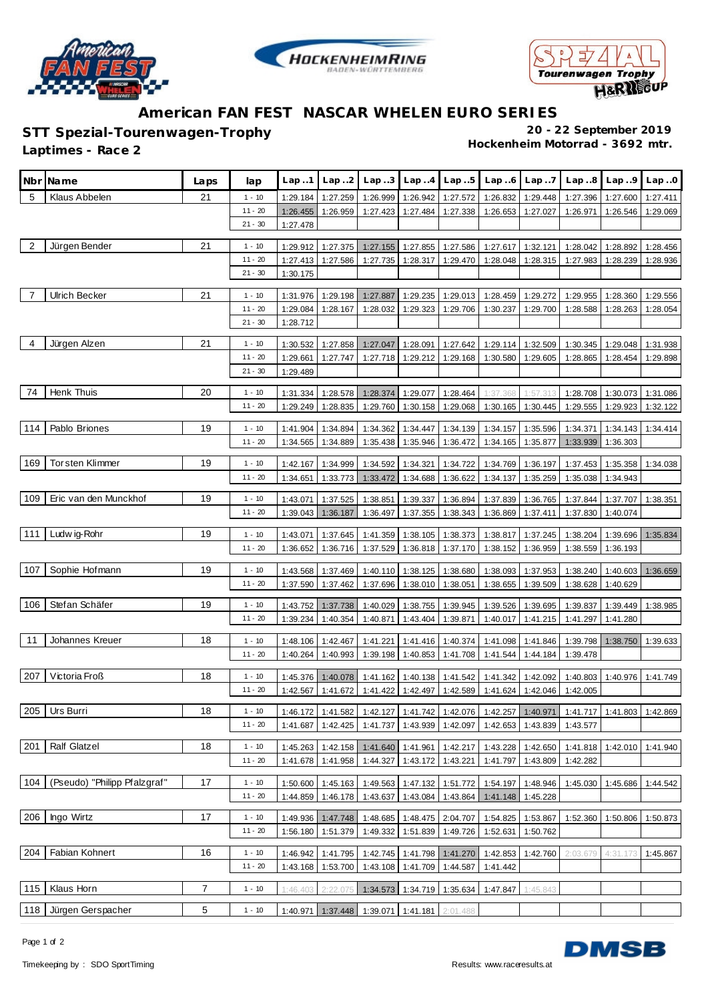





## **American FAN FEST NASCAR WHELEN EURO SERIES**

**STT Spezial-Tourenwagen-Trophy 20 - 22 September 2019**

**Hockenheim Motorrad - 3692 mtr. Laptimes - Race 2**

**Nbr Name Laps lap Lap ..1 Lap ..2 Lap ..3 Lap ..4 Lap ..5 Lap ..6 Lap ..7 Lap ..8 Lap ..9 Lap ..0** 5 Klaus Abbelen 21 1 - 10 1:29.184 1:27.259 1:26.999 1:26.942 1:27.572 1:26.832 1:29.448 1:27.396 1:27.600 1:27.411 11 - 20 1:26.455 1:26.959 1:27.423 1:27.484 1:27.338 1:26.653 1:27.027 1:26.971 1:26.546 1:29.069 21 - 30 1:27.478 2 Jürgen Bender 21 1 - 10 1:29.912 1:27.375 1:27.155 1:27.855 1:27.586 1:27.617 1:32.121 1:28.042 1:28.892 1:28.456 11 - 20 1:27.413 1:27.586 1:27.735 1:28.317 1:29.470 1:28.048 1:28.315 1:27.983 1:28.239 1:28.936 21 - 30 1:30.175 7 Ulrich Becker 21 1 - 10 1:31.976 1:29.198 1:27.887 1:29.235 1:29.013 1:28.459 1:29.272 1:29.955 1:28.360 1:29.556 11 - 20 1:29.084 1:28.167 1:28.032 1:29.323 1:29.706 1:30.237 1:29.700 1:28.588 1:28.263 1:28.054  $21 - 30$  1:28.712 4 Jürgen Alzen 21 | 21 | 1 - 10 | 1:30.532 | 1:27.858 | 1:27.047 | 1:28.091 | 1:27.642 | 1:29.114 | 1:32.509 | 1:30.345 | 1:29.048 | 1:31.938 11 - 20 1:29.661 1:27.747 1:27.718 1:29.212 1:29.168 1:30.580 1:29.605 1:28.865 1:28.454 1:29.898 21 - 30 1:29.489 74 Henk Thuis 20 1 - 10 1:31.334 1:28.578 1:28.374 1:29.077 1:28.464 1:37.368 1:57.313 1:28.708 1:30.073 1:31.086 11 - 20 1:29.249 1:28.835 1:29.760 1:30.158 1:29.068 1:30.165 1:30.445 1:29.555 1:29.923 1:32.122 114 Pablo Briones 19 1 - 10 1:41.904 1:34.894 1:34.362 1:34.447 1:34.139 1:34.157 1:35.596 1:34.371 1:34.143 1:34.414 11 - 20 1:34.565 1:34.889 1:35.438 1:35.946 1:36.472 1:34.165 1:35.877 1:33.939 1:36.303 169 | Torsten Klimmer | 19 | 1-10 | 1:42.167 | 1:34.999 | 1:34.592 | 1:34.321 | 1:34.722 | 1:34.769 | 1:36.37 | 1:37.453 | 1:35.358 | 1:34.038 11 - 20 1:34.651 1:33.773 1:33.472 1:34.688 1:36.622 1:34.137 1:35.259 1:35.038 1:34.943 109 Eric van den Munckhof 19 1 - 10 1:43.071 1:37.525 1:38.851 1:39.337 1:36.894 1:37.839 1:36.765 1:37.844 1:37.707 1:38.351 11 - 20 1:39.043 1:36.187 1:36.497 1:37.355 1:38.343 1:36.869 1:37.411 1:37.830 1:40.074 111 Ludw ig-Rohr 19 1 - 10 1:43.071 1:37.645 1:41.359 1:38.105 1:38.373 1:38.817 1:37.245 1:38.204 1:39.696 1:35.834 11 - 20 1:36.652 1:36.716 1:37.529 1:36.818 1:37.170 1:38.152 1:36.959 1:38.559 1:36.193 107 Sophie Hofmann 19 1 - 10 1:43.568 1:37.469 1:40.110 1:38.125 1:38.680 1:38.093 1:37.953 1:38.240 1:40.603 1:36.659 11 - 20 1:37.590 1:37.462 1:37.696 1:38.010 1:38.051 1:38.655 1:39.509 1:38.628 1:40.629 106 Stefan Schäfer 19 1 - 10 1:43.752 1:37.738 1:40.029 1:38.755 1:39.945 1:39.526 1:39.695 1:39.837 1:39.449 1:38.985 11 - 20 1:39.234 1:40.354 1:40.871 1:43.404 1:39.871 1:40.017 1:41.215 1:41.297 1:41.280 11 Johannes Kreuer 18 1 - 10 1:48.106 1:42.467 1:41.221 1:41.416 1:40.374 1:41.098 1:41.846 1:39.798 1:38.750 1:39.633 11 - 20 1:40.264 1:40.993 1:39.198 1:40.853 1:41.708 1:41.544 1:44.184 1:39.478 207 Victoria Froß 1:41.749 1:41.749 1:41.749 1:41.162 1:41.162 1:41.162 1:41.162 1:41.542 1:41.542 1:41.342 1:42.092 1:40.803 1:40.976 1:41.749 11 - 20 1:42.567 1:41.672 1:41.422 1:42.497 1:42.589 1:41.624 1:42.046 1:42.005 205 Urs Burri 18 1 - 10 1:46.172 1:41.582 1:42.127 1:41.742 1:42.076 1:42.257 1:40.971 1:41.717 1:41.803 1:42.869 11 - 20 1:41.687 1:42.425 1:41.737 1:43.939 1:42.097 1:42.653 1:43.839 1:43.577 201 Ralf Glatzel 18 1 - 10 1:45.263 1:42.158 1:41.640 1:41.961 1:42.217 1:43.228 1:42.650 1:41.818 1:42.010 1:41.940 11 - 20 1:41.678 1:41.958 1:44.327 1:43.172 1:43.221 1:41.797 1:43.809 1:42.282 104 (Pseudo) "Philipp Pfalzgraf" 17 1 - 10 1:50.600 1:45.163 1:49.563 1:47.132 1:51.772 1:54.197 1:48.946 1:45.030 1:45.686 1:44.542 11 - 20 1:44.859 1:46.178 1:43.637 1:43.084 1:43.864 1:41.148 1:45.228 |206 | lngo Wirtz | 17 | 1-10 | 1:49.936 | 1:47.748 | 1:48.685 | 1:48.475 | 2:04.707 | 1:54.825 | 1:53.867 | 1:52.360 | 1:50.806 | 1:50.873 11 - 20 1:56.180 1:51.379 1:49.332 1:51.839 1:49.726 1:52.631 1:50.762 204 Fabian Kohnert 16 1 - 10 1:46.942 1:41.795 1:42.745 1:41.798 1:41.270 1:42.853 1:42.760 2:03.679 4:31.173 1:45.867 11 - 20 1:43.168 1:53.700 1:43.108 1:41.709 1:44.587 1:41.442 115 Klaus Horn 7 1 - 10 1:46.403 2:22.075 1:34.573 1:34.719 1:35.634 1:47.847 1:45.843 118 Jürgen Gerspacher 1 - 10 1:40.971 1:37.448 1:39.071 1:41.181 2:01.48